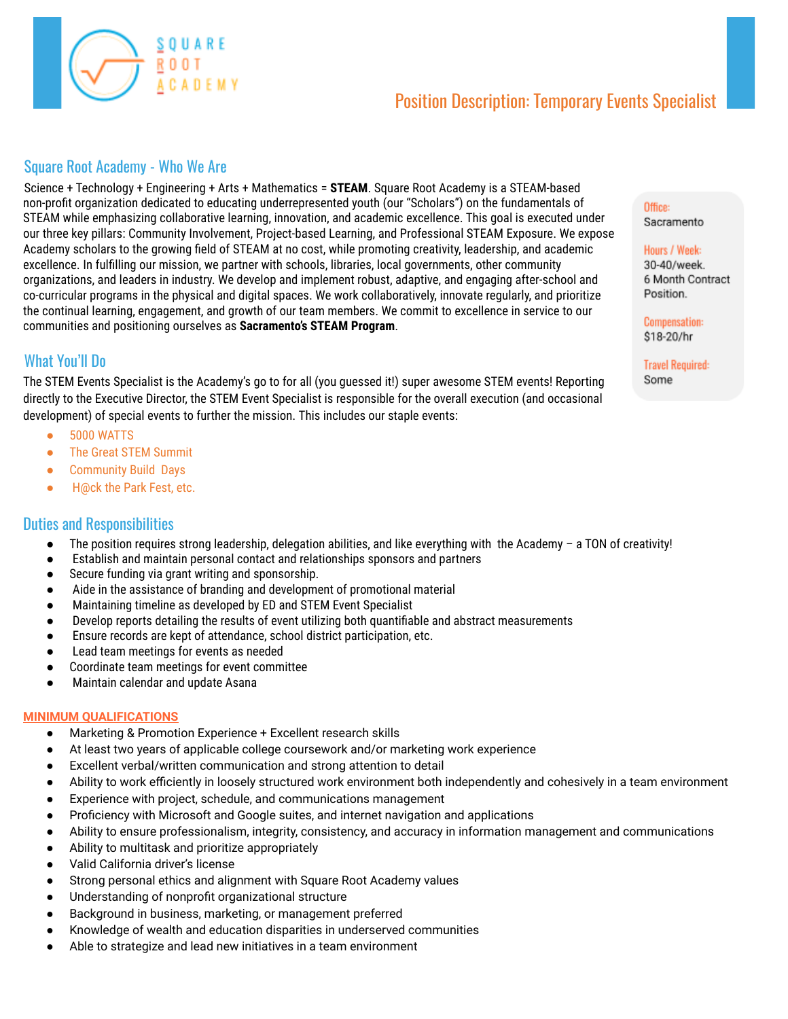

# Position Description: Temporary Events Specialist

### Square Root Academy - Who We Are

Science + Technology + Engineering + Arts + Mathematics = **STEAM**. Square Root Academy is a STEAM-based non-profit organization dedicated to educating underrepresented youth (our "Scholars") on the fundamentals of STEAM while emphasizing collaborative learning, innovation, and academic excellence. This goal is executed under our three key pillars: Community Involvement, Project-based Learning, and Professional STEAM Exposure. We expose Academy scholars to the growing field of STEAM at no cost, while promoting creativity, leadership, and academic excellence. In fulfilling our mission, we partner with schools, libraries, local governments, other community organizations, and leaders in industry. We develop and implement robust, adaptive, and engaging after-school and co-curricular programs in the physical and digital spaces. We work collaboratively, innovate regularly, and prioritize the continual learning, engagement, and growth of our team members. We commit to excellence in service to our communities and positioning ourselves as **Sacramento's STEAM Program**.

## What You'll Do

The STEM Events Specialist is the Academy's go to for all (you guessed it!) super awesome STEM events! Reporting directly to the Executive Director, the STEM Event Specialist is responsible for the overall execution (and occasional development) of special events to further the mission. This includes our staple events:

- 5000 WATTS
- The Great STEM Summit
- Community Build Days
- H@ck the Park Fest, etc.

### Duties and Responsibilities

- The position requires strong leadership, delegation abilities, and like everything with the Academy a TON of creativity!
- Establish and maintain personal contact and relationships sponsors and partners
- Secure funding via grant writing and sponsorship.
- Aide in the assistance of branding and development of promotional material
- Maintaining timeline as developed by ED and STEM Event Specialist
- Develop reports detailing the results of event utilizing both quantifiable and abstract measurements
- Ensure records are kept of attendance, school district participation, etc.
- Lead team meetings for events as needed
- Coordinate team meetings for event committee
- Maintain calendar and update Asana

#### **MINIMUM QUALIFICATIONS**

- Marketing & Promotion Experience + Excellent research skills
- At least two years of applicable college coursework and/or marketing work experience
- Excellent verbal/written communication and strong attention to detail
- Ability to work efficiently in loosely structured work environment both independently and cohesively in a team environment
- Experience with project, schedule, and communications management
- Proficiency with Microsoft and Google suites, and internet navigation and applications
- Ability to ensure professionalism, integrity, consistency, and accuracy in information management and communications
- Ability to multitask and prioritize appropriately
- Valid California driver's license
- Strong personal ethics and alignment with Square Root Academy values
- Understanding of nonprofit organizational structure
- Background in business, marketing, or management preferred
- Knowledge of wealth and education disparities in underserved communities
- Able to strategize and lead new initiatives in a team environment

## Office:

Sacramento

#### Hours / Week:

30-40/week. 6 Month Contract Position.

**Compensation:** \$18-20/hr

**Travel Required:** Some